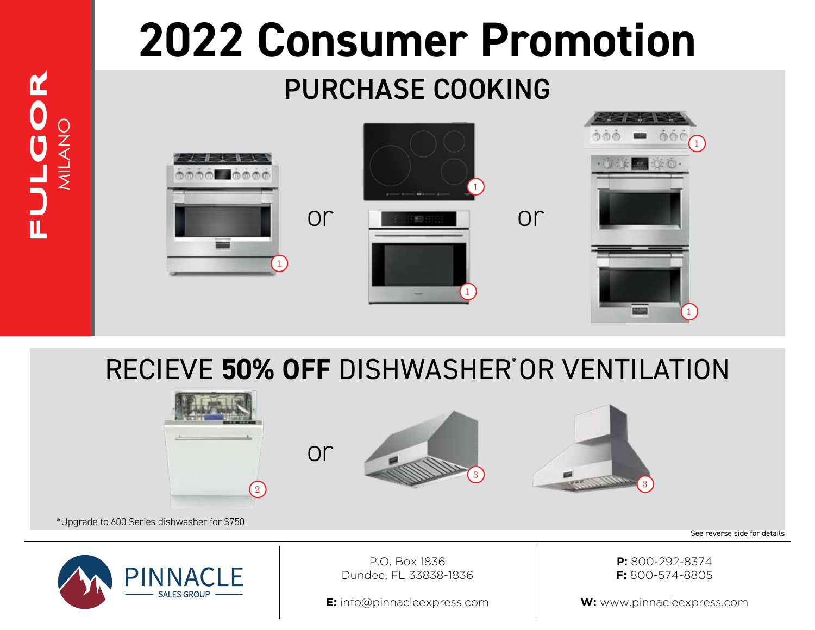## **2022 Consumer Promotion**

## PURCHASE COOKING

FULGOR

MILANO



RECIEVE **50% OFF** DISHWASHER\* OR VENTILATION



**E:** info@pinnacleexpress.com

**W:** www.pinnacleexpress.com